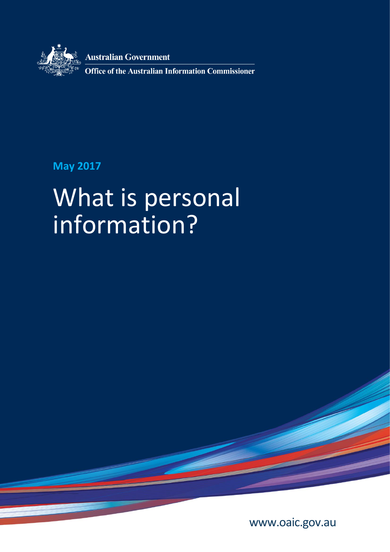

**Australian Government** 

**Office of the Australian Information Commissioner** 

# **May 2017**

# What is personal information?

[www.oaic.gov.au](https://www.oaic.gov.au/)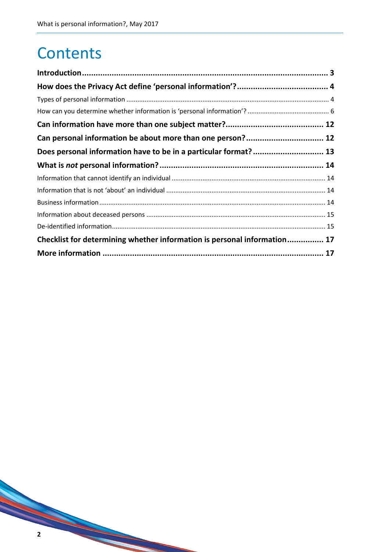# **Contents**

| Can personal information be about more than one person? 12               |  |
|--------------------------------------------------------------------------|--|
|                                                                          |  |
|                                                                          |  |
|                                                                          |  |
|                                                                          |  |
|                                                                          |  |
|                                                                          |  |
|                                                                          |  |
| Checklist for determining whether information is personal information 17 |  |
|                                                                          |  |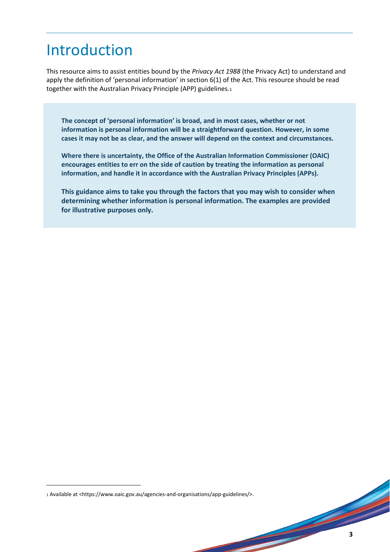# Introduction

This resource aims to assist entities bound by the *Privacy Act 1988* (the Privacy Act) to understand and apply the definition of 'personal information' in section 6(1) of the Act. This resource should be read together with the Australian Privacy Principle (APP) guidelines.<sup>1</sup>

**The concept of 'personal information' is broad, and in most cases, whether or not information is personal information will be a straightforward question. However, in some cases it may not be as clear, and the answer will depend on the context and circumstances.**

**Where there is uncertainty, the Office of the Australian Information Commissioner (OAIC) encourages entities to err on the side of caution by treating the information as personal information, and handle it in accordance with the Australian Privacy Principles (APPs).** 

**This guidance aims to take you through the factors that you may wish to consider when determining whether information is personal information. The examples are provided for illustrative purposes only.** 

**.** 

<sup>1</sup> Available at <https://www.oaic.gov.au/agencies-and-organisations/app-guidelines/>.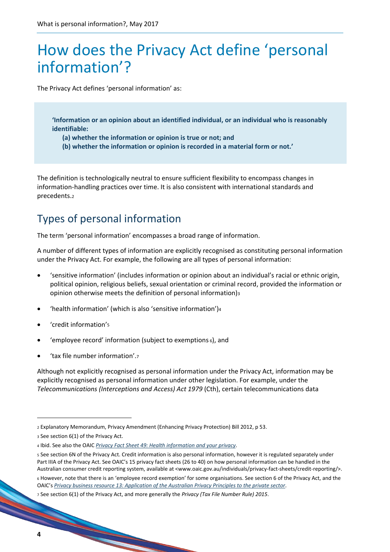# How does the Privacy Act define 'personal information'?

The Privacy Act defines 'personal information' as:

**'Information or an opinion about an identified individual, or an individual who is reasonably identifiable:**

- **(a) whether the information or opinion is true or not; and**
- **(b) whether the information or opinion is recorded in a material form or not.'**

The definition is technologically neutral to ensure sufficient flexibility to encompass changes in information-handling practices over time. It is also consistent with international standards and precedents.<sup>2</sup>

# Types of personal information

The term 'personal information' encompasses a broad range of information.

A number of different types of information are explicitly recognised as constituting personal information under the Privacy Act. For example, the following are all types of personal information:

- 'sensitive information' (includes information or opinion about an individual's racial or ethnic origin, political opinion, religious beliefs, sexual orientation or criminal record, provided the information or opinion otherwise meets the definition of personal information)<sup>3</sup>
- 'health information' (which is also 'sensitive information')<sup>4</sup>
- 'credit information'<sup>5</sup>
- 'employee record' information (subject to exemptions <sup>6</sup>), and
- 'tax file number information'.<sup>7</sup>

Although not explicitly recognised as personal information under the Privacy Act, information may be explicitly recognised as personal information under other legislation. For example, under the *Telecommunications (Interceptions and Access) Act 1979* (Cth), certain telecommunications data

 $\overline{a}$ 

<sup>2</sup> Explanatory Memorandum, Privacy Amendment (Enhancing Privacy Protection) Bill 2012, p 53.

<sup>3</sup> See section 6(1) of the Privacy Act.

<sup>4</sup> Ibid. See also the OAIC *[Privacy Fact Sheet 49: Health information and your privacy](https://www.oaic.gov.au/individuals/privacy-fact-sheets/health-and-digital-health/privacy-fact-sheet-49)*.

<sup>5</sup> See section 6N of the Privacy Act. Credit information is also personal information, however it is regulated separately under Part IIIA of the Privacy Act. See OAIC's 15 privacy fact sheets (26 to 40) on how personal information can be handled in the Australian consumer credit reporting system, available at <www.oaic.gov.au/individuals/privacy-fact-sheets/credit-reporting/>.

<sup>6</sup> However, note that there is an 'employee record exemption' for some organisations. See section 6 of the Privacy Act, and the OAIC's *[Privacy business resource 13: Application of the Australian Privacy Principles to the private sector](https://www.oaic.gov.au/agencies-and-organisations/business-resources/privacy-business-resource-13)*.

<sup>7</sup> See section 6(1) of the Privacy Act, and more generally the *Privacy (Tax File Number Rule) 2015*.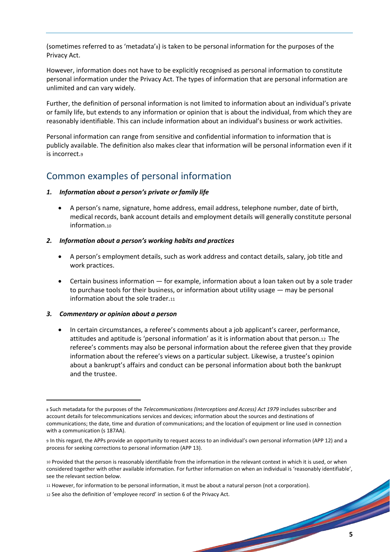(sometimes referred to as 'metadata'8) is taken to be personal information for the purposes of the Privacy Act.

However, information does not have to be explicitly recognised as personal information to constitute personal information under the Privacy Act. The types of information that are personal information are unlimited and can vary widely.

Further, the definition of personal information is not limited to information about an individual's private or family life, but extends to any information or opinion that is about the individual, from which they are reasonably identifiable. This can include information about an individual's business or work activities.

Personal information can range from sensitive and confidential information to information that is publicly available. The definition also makes clear that information will be personal information even if it is incorrect.<sup>9</sup>

### Common examples of personal information

#### *1. Information about a person's private or family life*

 A person's name, signature, home address, email address, telephone number, date of birth, medical records, bank account details and employment details will generally constitute personal information.<sup>10</sup>

#### *2. Information about a person's working habits and practices*

- A person's employment details, such as work address and contact details, salary, job title and work practices.
- Certain business information for example, information about a loan taken out by a sole trader to purchase tools for their business, or information about utility usage — may be personal information about the sole trader.11

#### *3. Commentary or opinion about a person*

**.** 

 In certain circumstances, a referee's comments about a job applicant's career, performance, attitudes and aptitude is 'personal information' as it is information about that person.<sup>12</sup> The referee's comments may also be personal information about the referee given that they provide information about the referee's views on a particular subject. Likewise, a trustee's opinion about a bankrupt's affairs and conduct can be personal information about both the bankrupt and the trustee.

<sup>8</sup> Such metadata for the purposes of the *Telecommunications (Interceptions and Access) Act 1979* includes subscriber and account details for telecommunications services and devices; information about the sources and destinations of communications; the date, time and duration of communications; and the location of equipment or line used in connection with a communication (s 187AA).

<sup>9</sup> In this regard, the APPs provide an opportunity to request access to an individual's own personal information (APP 12) and a process for seeking corrections to personal information (APP 13).

<sup>10</sup> Provided that the person is reasonably identifiable from the information in the relevant context in which it is used, or when considered together with other available information. For further information on when an individual is 'reasonably identifiable', see the relevant section below.

<sup>11</sup> However, for information to be personal information, it must be about a natural person (not a corporation).

<sup>12</sup> See also the definition of 'employee record' in section 6 of the Privacy Act.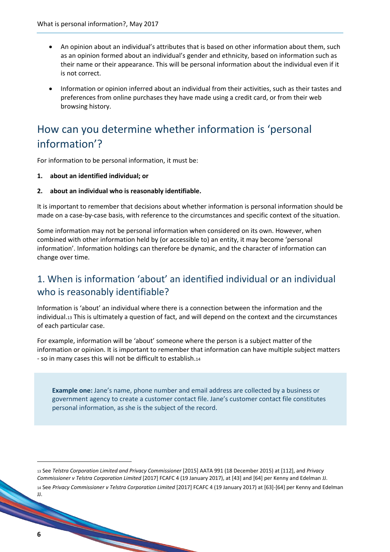- An opinion about an individual's attributes that is based on other information about them, such as an opinion formed about an individual's gender and ethnicity, based on information such as their name or their appearance. This will be personal information about the individual even if it is not correct.
- Information or opinion inferred about an individual from their activities, such as their tastes and preferences from online purchases they have made using a credit card, or from their web browsing history.

## How can you determine whether information is 'personal information'?

For information to be personal information, it must be:

- **1. about an identified individual; or**
- **2. about an individual who is reasonably identifiable.**

It is important to remember that decisions about whether information is personal information should be made on a case-by-case basis, with reference to the circumstances and specific context of the situation.

Some information may not be personal information when considered on its own. However, when combined with other information held by (or accessible to) an entity, it may become 'personal information'. Information holdings can therefore be dynamic, and the character of information can change over time.

### 1. When is information 'about' an identified individual or an individual who is reasonably identifiable?

Information is 'about' an individual where there is a connection between the information and the individual.<sup>13</sup> This is ultimately a question of fact, and will depend on the context and the circumstances of each particular case.

For example, information will be 'about' someone where the person is a subject matter of the information or opinion. It is important to remember that information can have multiple subject matters - so in many cases this will not be difficult to establish.<sup>14</sup>

**Example one:** Jane's name, phone number and email address are collected by a business or government agency to create a customer contact file. Jane's customer contact file constitutes personal information, as she is the subject of the record.

 $\overline{\phantom{a}}$ 

<sup>13</sup> See *Telstra Corporation Limited and Privacy Commissioner* [2015] AATA 991 (18 December 2015) at [112], and *Privacy Commissioner v Telstra Corporation Limited* [2017] FCAFC 4 (19 January 2017), at [43] and [64] per Kenny and Edelman JJ. <sup>14</sup> See *Privacy Commissioner v Telstra Corporation Limited* [2017] FCAFC 4 (19 January 2017) at [63]-[64] per Kenny and Edelman JJ.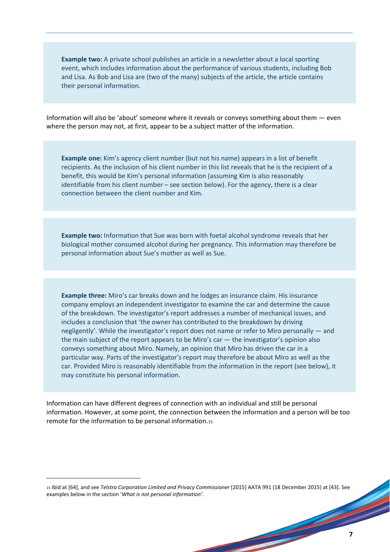**Example two:** A private school publishes an article in a newsletter about a local sporting event, which includes information about the performance of various students, including Bob and Lisa. As Bob and Lisa are (two of the many) subjects of the article, the article contains their personal information.

Information will also be 'about' someone where it reveals or conveys something about them — even where the person may not, at first, appear to be a subject matter of the information.

**Example one:** Kim's agency client number (but not his name) appears in a list of benefit recipients. As the inclusion of his client number in this list reveals that he is the recipient of a benefit, this would be Kim's personal information (assuming Kim is also reasonably identifiable from his client number – see section below). For the agency, there is a clear connection between the client number and Kim.

**Example two:** Information that Sue was born with foetal alcohol syndrome reveals that her biological mother consumed alcohol during her pregnancy. This information may therefore be personal information about Sue's mother as well as Sue.

**Example three:** Miro's car breaks down and he lodges an insurance claim. His insurance company employs an independent investigator to examine the car and determine the cause of the breakdown. The investigator's report addresses a number of mechanical issues, and includes a conclusion that 'the owner has contributed to the breakdown by driving negligently'. While the investigator's report does not name or refer to Miro personally — and the main subject of the report appears to be Miro's car — the investigator's opinion also conveys something about Miro. Namely, an opinion that Miro has driven the car in a particular way. Parts of the investigator's report may therefore be about Miro as well as the car. Provided Miro is reasonably identifiable from the information in the report (see below), it may constitute his personal information.

Information can have different degrees of connection with an individual and still be personal information. However, at some point, the connection between the information and a person will be too remote for the information to be personal information.<sup>15</sup>

<sup>15</sup> Ibid at [64], and see *Telstra Corporation Limited and Privacy Commissioner* [2015] AATA 991 (18 December 2015) at [43]. See examples below in the section '*What is not personal information'*.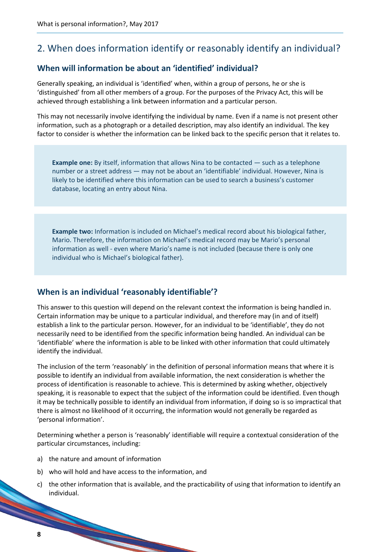### 2. When does information identify or reasonably identify an individual?

#### **When will information be about an 'identified' individual?**

Generally speaking, an individual is 'identified' when, within a group of persons, he or she is 'distinguished' from all other members of a group. For the purposes of the Privacy Act, this will be achieved through establishing a link between information and a particular person.

This may not necessarily involve identifying the individual by name. Even if a name is not present other information, such as a photograph or a detailed description, may also identify an individual. The key factor to consider is whether the information can be linked back to the specific person that it relates to.

**Example one:** By itself, information that allows Nina to be contacted — such as a telephone number or a street address — may not be about an 'identifiable' individual. However, Nina is likely to be identified where this information can be used to search a business's customer database, locating an entry about Nina.

**Example two:** Information is included on Michael's medical record about his biological father, Mario. Therefore, the information on Michael's medical record may be Mario's personal information as well - even where Mario's name is not included (because there is only one individual who is Michael's biological father).

#### **When is an individual 'reasonably identifiable'?**

This answer to this question will depend on the relevant context the information is being handled in. Certain information may be unique to a particular individual, and therefore may (in and of itself) establish a link to the particular person. However, for an individual to be 'identifiable', they do not necessarily need to be identified from the specific information being handled. An individual can be 'identifiable' where the information is able to be linked with other information that could ultimately identify the individual.

The inclusion of the term 'reasonably' in the definition of personal information means that where it is possible to identify an individual from available information, the next consideration is whether the process of identification is reasonable to achieve. This is determined by asking whether, objectively speaking, it is reasonable to expect that the subject of the information could be identified. Even though it may be technically possible to identify an individual from information, if doing so is so impractical that there is almost no likelihood of it occurring, the information would not generally be regarded as 'personal information'.

Determining whether a person is 'reasonably' identifiable will require a contextual consideration of the particular circumstances, including:

a) the nature and amount of information

- b) who will hold and have access to the information, and
- c) the other information that is available, and the practicability of using that information to identify an individual.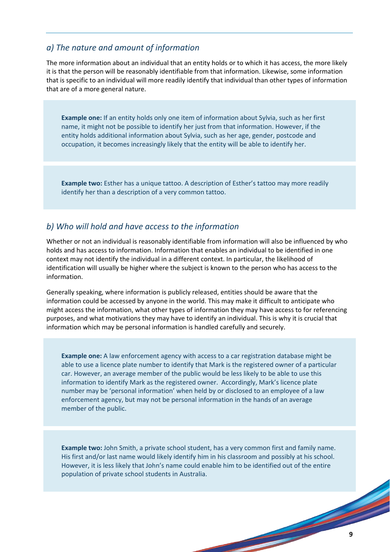#### *a) The nature and amount of information*

The more information about an individual that an entity holds or to which it has access, the more likely it is that the person will be reasonably identifiable from that information. Likewise, some information that is specific to an individual will more readily identify that individual than other types of information that are of a more general nature.

**Example one:** If an entity holds only one item of information about Sylvia, such as her first name, it might not be possible to identify her just from that information. However, if the entity holds additional information about Sylvia, such as her age, gender, postcode and occupation, it becomes increasingly likely that the entity will be able to identify her.

**Example two:** Esther has a unique tattoo. A description of Esther's tattoo may more readily identify her than a description of a very common tattoo.

#### *b) Who will hold and have access to the information*

Whether or not an individual is reasonably identifiable from information will also be influenced by who holds and has access to information. Information that enables an individual to be identified in one context may not identify the individual in a different context. In particular, the likelihood of identification will usually be higher where the subject is known to the person who has access to the information.

Generally speaking, where information is publicly released, entities should be aware that the information could be accessed by anyone in the world. This may make it difficult to anticipate who might access the information, what other types of information they may have access to for referencing purposes, and what motivations they may have to identify an individual. This is why it is crucial that information which may be personal information is handled carefully and securely.

**Example one:** A law enforcement agency with access to a car registration database might be able to use a licence plate number to identify that Mark is the registered owner of a particular car. However, an average member of the public would be less likely to be able to use this information to identify Mark as the registered owner. Accordingly, Mark's licence plate number may be 'personal information' when held by or disclosed to an employee of a law enforcement agency, but may not be personal information in the hands of an average member of the public.

**Example two:** John Smith, a private school student, has a very common first and family name. His first and/or last name would likely identify him in his classroom and possibly at his school. However, it is less likely that John's name could enable him to be identified out of the entire population of private school students in Australia.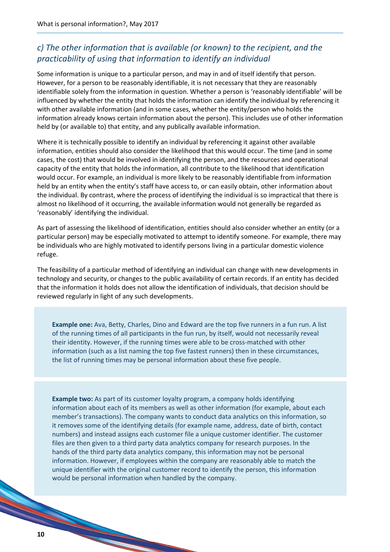### *c) The other information that is available (or known) to the recipient, and the practicability of using that information to identify an individual*

Some information is unique to a particular person, and may in and of itself identify that person. However, for a person to be reasonably identifiable, it is not necessary that they are reasonably identifiable solely from the information in question. Whether a person is 'reasonably identifiable' will be influenced by whether the entity that holds the information can identify the individual by referencing it with other available information (and in some cases, whether the entity/person who holds the information already knows certain information about the person). This includes use of other information held by (or available to) that entity, and any publically available information.

Where it is technically possible to identify an individual by referencing it against other available information, entities should also consider the likelihood that this would occur. The time (and in some cases, the cost) that would be involved in identifying the person, and the resources and operational capacity of the entity that holds the information, all contribute to the likelihood that identification would occur. For example, an individual is more likely to be reasonably identifiable from information held by an entity when the entity's staff have access to, or can easily obtain, other information about the individual. By contrast, where the process of identifying the individual is so impractical that there is almost no likelihood of it occurring, the available information would not generally be regarded as 'reasonably' identifying the individual.

As part of assessing the likelihood of identification, entities should also consider whether an entity (or a particular person) may be especially motivated to attempt to identify someone. For example, there may be individuals who are highly motivated to identify persons living in a particular domestic violence refuge.

The feasibility of a particular method of identifying an individual can change with new developments in technology and security, or changes to the public availability of certain records. If an entity has decided that the information it holds does not allow the identification of individuals, that decision should be reviewed regularly in light of any such developments.

**Example one:** Ava, Betty, Charles, Dino and Edward are the top five runners in a fun run. A list of the running times of all participants in the fun run, by itself, would not necessarily reveal their identity. However, if the running times were able to be cross-matched with other information (such as a list naming the top five fastest runners) then in these circumstances, the list of running times may be personal information about these five people.

**Example two:** As part of its customer loyalty program, a company holds identifying information about each of its members as well as other information (for example, about each member's transactions). The company wants to conduct data analytics on this information, so it removes some of the identifying details (for example name, address, date of birth, contact numbers) and instead assigns each customer file a unique customer identifier. The customer files are then given to a third party data analytics company for research purposes. In the hands of the third party data analytics company, this information may not be personal information. However, if employees within the company are reasonably able to match the unique identifier with the original customer record to identify the person, this information would be personal information when handled by the company.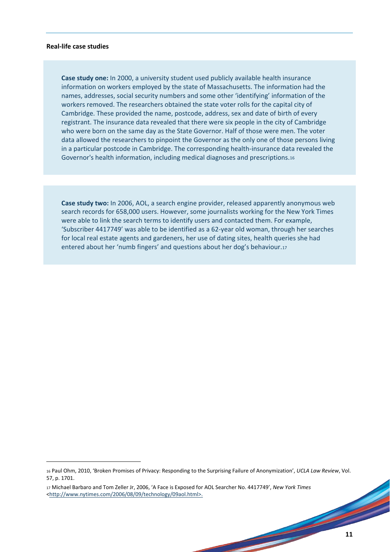#### **Real-life case studies**

**.** 

**Case study one:** In 2000, a university student used publicly available health insurance information on workers employed by the state of Massachusetts. The information had the names, addresses, social security numbers and some other 'identifying' information of the workers removed. The researchers obtained the state voter rolls for the capital city of Cambridge. These provided the name, postcode, address, sex and date of birth of every registrant. The insurance data revealed that there were six people in the city of Cambridge who were born on the same day as the State Governor. Half of those were men. The voter data allowed the researchers to pinpoint the Governor as the only one of those persons living in a particular postcode in Cambridge. The corresponding health-insurance data revealed the Governor's health information, including medical diagnoses and prescriptions.<sup>16</sup>

**Case study two:** In 2006, AOL, a search engine provider, released apparently anonymous web search records for 658,000 users. However, some journalists working for the New York Times were able to link the search terms to identify users and contacted them. For example, 'Subscriber 4417749' was able to be identified as a 62-year old woman, through her searches for local real estate agents and gardeners, her use of dating sites, health queries she had entered about her 'numb fingers' and questions about her dog's behaviour.<sup>17</sup>

<sup>16</sup> Paul Ohm, 2010, 'Broken Promises of Privacy: Responding to the Surprising Failure of Anonymization', *UCLA Law Review*, Vol. 57, p. 1701.

<sup>17</sup> Michael Barbaro and Tom Zeller Jr, 2006, 'A Face is Exposed for AOL Searcher No. 4417749', *New York Times* [<http://www.nytimes.com/2006/08/09/technology/09aol.html>](http://www.nytimes.com/2006/08/09/technology/09aol.html).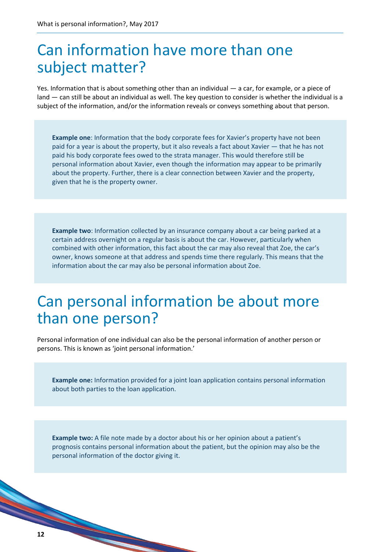# Can information have more than one subject matter?

Yes. Information that is about something other than an individual — a car, for example, or a piece of land — can still be about an individual as well. The key question to consider is whether the individual is a subject of the information, and/or the information reveals or conveys something about that person.

**Example one**: Information that the body corporate fees for Xavier's property have not been paid for a year is about the property, but it also reveals a fact about Xavier — that he has not paid his body corporate fees owed to the strata manager. This would therefore still be personal information about Xavier, even though the information may appear to be primarily about the property. Further, there is a clear connection between Xavier and the property, given that he is the property owner.

**Example two**: Information collected by an insurance company about a car being parked at a certain address overnight on a regular basis is about the car. However, particularly when combined with other information, this fact about the car may also reveal that Zoe, the car's owner, knows someone at that address and spends time there regularly. This means that the information about the car may also be personal information about Zoe.

# Can personal information be about more than one person?

Personal information of one individual can also be the personal information of another person or persons. This is known as 'joint personal information.'

**Example one:** Information provided for a joint loan application contains personal information about both parties to the loan application.

**Example two:** A file note made by a doctor about his or her opinion about a patient's prognosis contains personal information about the patient, but the opinion may also be the personal information of the doctor giving it.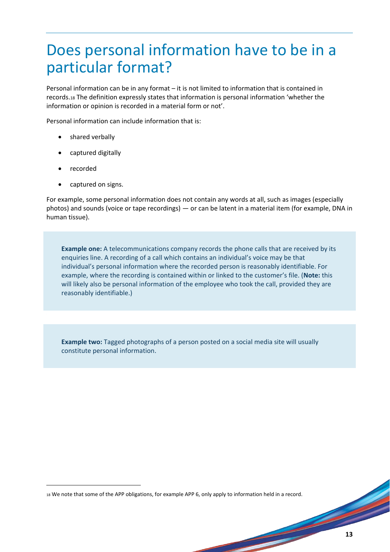# Does personal information have to be in a particular format?

Personal information can be in any format – it is not limited to information that is contained in records.<sup>18</sup> The definition expressly states that information is personal information 'whether the information or opinion is recorded in a material form or not'.

Personal information can include information that is:

- shared verbally
- captured digitally
- recorded

**.** 

captured on signs.

For example, some personal information does not contain any words at all, such as images (especially photos) and sounds (voice or tape recordings) — or can be latent in a material item (for example, DNA in human tissue).

**Example one:** A telecommunications company records the phone calls that are received by its enquiries line. A recording of a call which contains an individual's voice may be that individual's personal information where the recorded person is reasonably identifiable. For example, where the recording is contained within or linked to the customer's file. (**Note:** this will likely also be personal information of the employee who took the call, provided they are reasonably identifiable.)

**Example two:** Tagged photographs of a person posted on a social media site will usually constitute personal information.

<sup>18</sup> We note that some of the APP obligations, for example APP 6, only apply to information held in a record.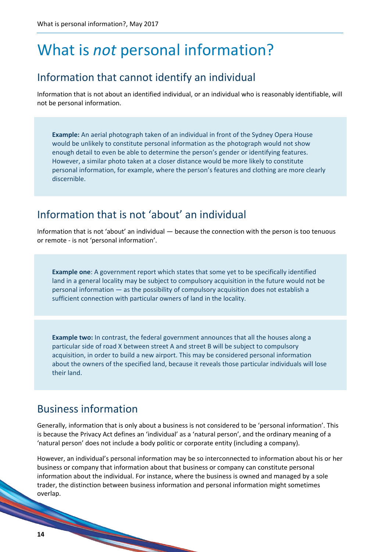# What is *not* personal information?

### Information that cannot identify an individual

Information that is not about an identified individual, or an individual who is reasonably identifiable, will not be personal information.

**Example:** An aerial photograph taken of an individual in front of the Sydney Opera House would be unlikely to constitute personal information as the photograph would not show enough detail to even be able to determine the person's gender or identifying features. However, a similar photo taken at a closer distance would be more likely to constitute personal information, for example, where the person's features and clothing are more clearly discernible.

### Information that is not 'about' an individual

Information that is not 'about' an individual — because the connection with the person is too tenuous or remote - is not 'personal information'.

**Example one**: A government report which states that some yet to be specifically identified land in a general locality may be subject to compulsory acquisition in the future would not be personal information — as the possibility of compulsory acquisition does not establish a sufficient connection with particular owners of land in the locality.

**Example two:** In contrast, the federal government announces that all the houses along a particular side of road X between street A and street B will be subject to compulsory acquisition, in order to build a new airport. This may be considered personal information about the owners of the specified land, because it reveals those particular individuals will lose their land.

### Business information

Generally, information that is only about a business is not considered to be 'personal information'. This is because the Privacy Act defines an 'individual' as a 'natural person', and the ordinary meaning of a 'natural person' does not include a body politic or corporate entity (including a company).

However, an individual's personal information may be so interconnected to information about his or her business or company that information about that business or company can constitute personal information about the individual. For instance, where the business is owned and managed by a sole trader, the distinction between business information and personal information might sometimes overlap.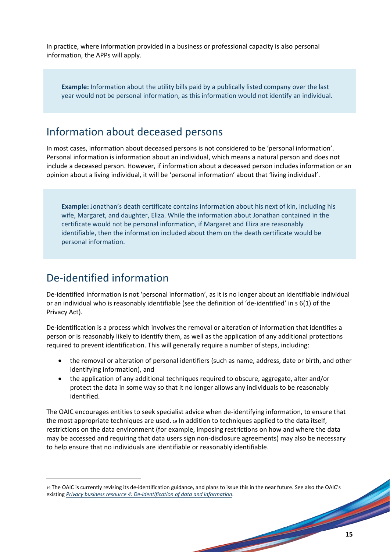In practice, where information provided in a business or professional capacity is also personal information, the APPs will apply.

**Example:** Information about the utility bills paid by a publically listed company over the last year would not be personal information, as this information would not identify an individual.

### Information about deceased persons

In most cases, information about deceased persons is not considered to be 'personal information'. Personal information is information about an individual, which means a natural person and does not include a deceased person. However, if information about a deceased person includes information or an opinion about a living individual, it will be 'personal information' about that 'living individual'.

**Example:** Jonathan's death certificate contains information about his next of kin, including his wife, Margaret, and daughter, Eliza. While the information about Jonathan contained in the certificate would not be personal information, if Margaret and Eliza are reasonably identifiable, then the information included about them on the death certificate would be personal information.

### De-identified information

1

De-identified information is not 'personal information', as it is no longer about an identifiable individual or an individual who is reasonably identifiable (see the definition of 'de-identified' in s 6(1) of the Privacy Act).

De-identification is a process which involves the removal or alteration of information that identifies a person or is reasonably likely to identify them, as well as the application of any additional protections required to prevent identification. This will generally require a number of steps, including:

- the removal or alteration of personal identifiers (such as name, address, date or birth, and other identifying information), and
- the application of any additional techniques required to obscure, aggregate, alter and/or protect the data in some way so that it no longer allows any individuals to be reasonably identified.

The OAIC encourages entities to seek specialist advice when de-identifying information, to ensure that the most appropriate techniques are used. <sup>19</sup> In addition to techniques applied to the data itself, restrictions on the data environment (for example, imposing restrictions on how and where the data may be accessed and requiring that data users sign non-disclosure agreements) may also be necessary to help ensure that no individuals are identifiable or reasonably identifiable.

<sup>19</sup> The OAIC is currently revising its de-identification guidance, and plans to issue this in the near future. See also the OAIC's existing *[Privacy business resource 4: De-identification of data and information](https://www.oaic.gov.au/agencies-and-organisations/business-resources/privacy-business-resource-4-de-identification-of-data-and-information)*.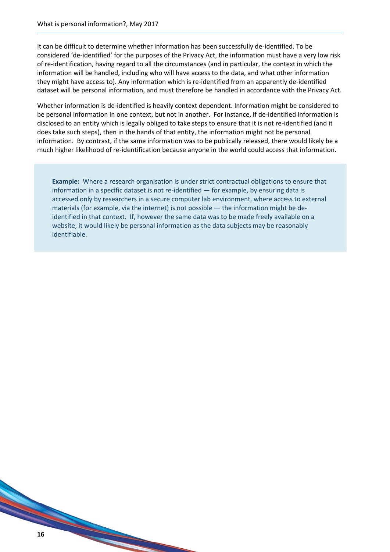It can be difficult to determine whether information has been successfully de-identified. To be considered 'de-identified' for the purposes of the Privacy Act, the information must have a very low risk of re-identification, having regard to all the circumstances (and in particular, the context in which the information will be handled, including who will have access to the data, and what other information they might have access to). Any information which is re-identified from an apparently de-identified dataset will be personal information, and must therefore be handled in accordance with the Privacy Act.

Whether information is de-identified is heavily context dependent. Information might be considered to be personal information in one context, but not in another. For instance, if de-identified information is disclosed to an entity which is legally obliged to take steps to ensure that it is not re-identified (and it does take such steps), then in the hands of that entity, the information might not be personal information. By contrast, if the same information was to be publically released, there would likely be a much higher likelihood of re-identification because anyone in the world could access that information.

**Example:** Where a research organisation is under strict contractual obligations to ensure that information in a specific dataset is not re-identified — for example, by ensuring data is accessed only by researchers in a secure computer lab environment, where access to external materials (for example, via the internet) is not possible — the information might be deidentified in that context. If, however the same data was to be made freely available on a website, it would likely be personal information as the data subjects may be reasonably identifiable.